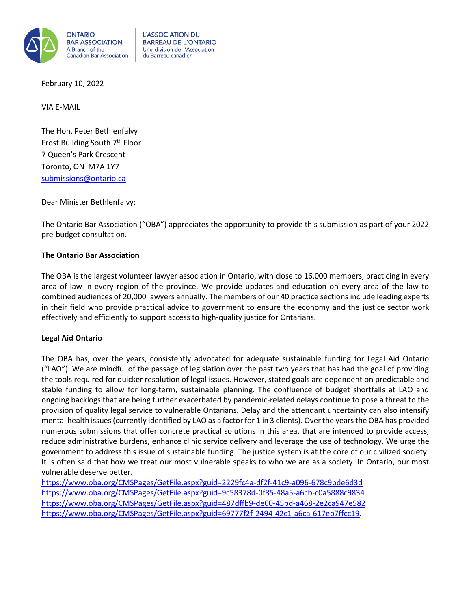

L'ASSOCIATION DU **BARREAU DE L'ONTARIO** Une division de l'Association du Barreau canadien

February 10, 2022

VIA E-MAIL

The Hon. Peter Bethlenfalvy Frost Building South 7<sup>th</sup> Floor 7 Queen's Park Crescent Toronto, ON M7A 1Y7 [submissions@ontario.ca](mailto:submissions@ontario.ca)

Dear Minister Bethlenfalvy:

The Ontario Bar Association ("OBA") appreciates the opportunity to provide this submission as part of your 2022 pre-budget consultation.

## **The Ontario Bar Association**

The OBA is the largest volunteer lawyer association in Ontario, with close to 16,000 members, practicing in every area of law in every region of the province. We provide updates and education on every area of the law to combined audiences of 20,000 lawyers annually. The members of our 40 practice sections include leading experts in their field who provide practical advice to government to ensure the economy and the justice sector work effectively and efficiently to support access to high-quality justice for Ontarians.

## **Legal Aid Ontario**

The OBA has, over the years, consistently advocated for adequate sustainable funding for Legal Aid Ontario ("LAO"). We are mindful of the passage of legislation over the past two years that has had the goal of providing the tools required for quicker resolution of legal issues. However, stated goals are dependent on predictable and stable funding to allow for long-term, sustainable planning. The confluence of budget shortfalls at LAO and ongoing backlogs that are being further exacerbated by pandemic-related delays continue to pose a threat to the provision of quality legal service to vulnerable Ontarians. Delay and the attendant uncertainty can also intensify mental health issues (currently identified by LAO as a factor for 1 in 3 clients). Over the years the OBA has provided numerous submissions that offer concrete practical solutions in this area, that are intended to provide access, reduce administrative burdens, enhance clinic service delivery and leverage the use of technology. We urge the government to address this issue of sustainable funding. The justice system is at the core of our civilized society. It is often said that how we treat our most vulnerable speaks to who we are as a society. In Ontario, our most vulnerable deserve better.

<https://www.oba.org/CMSPages/GetFile.aspx?guid=2229fc4a-df2f-41c9-a096-678c9bde6d3d> <https://www.oba.org/CMSPages/GetFile.aspx?guid=9c58378d-0f85-48a5-a6cb-c0a5888c9834> <https://www.oba.org/CMSPages/GetFile.aspx?guid=487dffb9-de60-45bd-a468-2e2ca947e582> [https://www.oba.org/CMSPages/GetFile.aspx?guid=69777f2f-2494-42c1-a6ca-617eb7ffcc19.](https://www.oba.org/CMSPages/GetFile.aspx?guid=69777f2f-2494-42c1-a6ca-617eb7ffcc19)